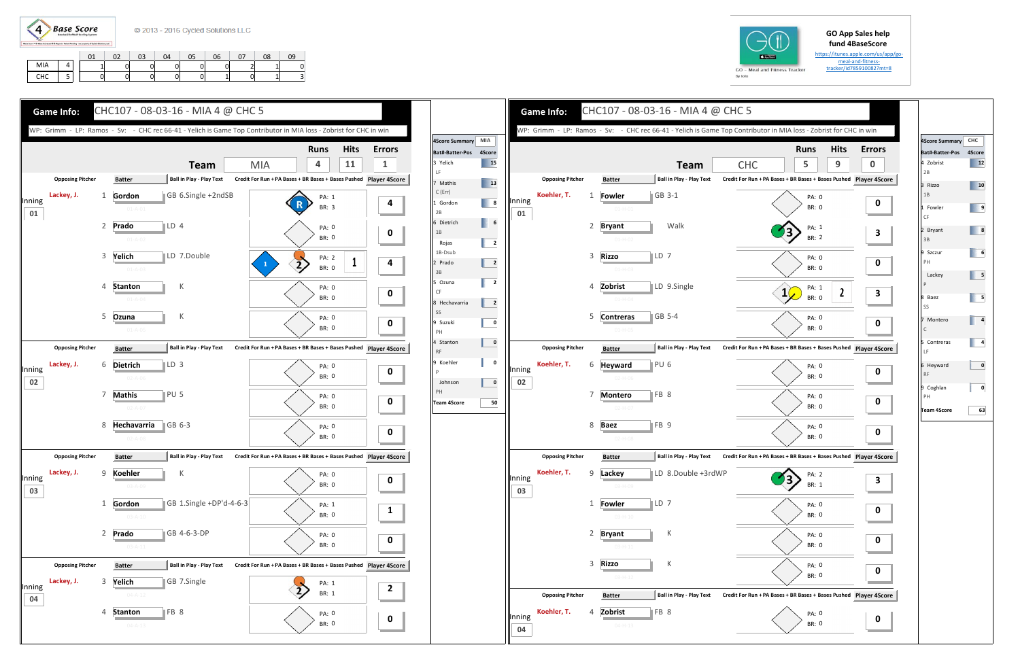

## **GO App Sales help fund 4BaseScore**

https://itunes.apple.com/us/app/go‐ meal-and-fitnesstracker/id785910082?mt=8

|     |        | $\mathbf{a}$ | በን<br>ັ້ | 03 | 04 | 05 | 06 | $\sim$ | 08 | ገ9             |
|-----|--------|--------------|----------|----|----|----|----|--------|----|----------------|
| MIA |        |              |          |    |    | 0  |    | ∽      |    | r              |
| CHC | -<br>۔ |              |          |    |    | 0  |    | -      |    | $\overline{ }$ |





|              |                         |   |                  | WP: Grimm - LP: Ramos - Sv: - CHC rec 66-41 - Yelich is Game Top Contributor in MIA loss - Zobrist for CHC in win |                                                               |   |                       |                |           |
|--------------|-------------------------|---|------------------|-------------------------------------------------------------------------------------------------------------------|---------------------------------------------------------------|---|-----------------------|----------------|-----------|
|              |                         |   |                  |                                                                                                                   |                                                               |   | <b>Runs</b>           | <b>Hits</b>    | Erro      |
|              |                         |   |                  | <b>Team</b>                                                                                                       | <b>CHC</b>                                                    |   | 5                     | 9              |           |
|              | <b>Opposing Pitcher</b> |   | <b>Batter</b>    | <b>Ball in Play - Play Text</b>                                                                                   | Credit For Run + PA Bases + BR Bases + Bases Pushed           |   |                       |                | Player 4S |
| Inning       | Koehler, T.             | 1 | Fowler           | GB 3-1                                                                                                            |                                                               |   | PA: 0                 |                |           |
| 01           |                         |   | $01 - H - 01$    |                                                                                                                   |                                                               |   | <b>BR: 0</b>          |                |           |
|              |                         | 2 | <b>Bryant</b>    | Walk                                                                                                              |                                                               |   | PA: 1                 |                |           |
|              |                         |   | $01 - H - 02$    |                                                                                                                   |                                                               |   | <b>BR: 2</b>          |                |           |
|              |                         | 3 | <b>Rizzo</b>     | LD 7                                                                                                              |                                                               |   | PA: 0                 |                |           |
|              |                         |   | $01-H-03$        |                                                                                                                   |                                                               |   | <b>BR: 0</b>          |                |           |
|              |                         | 4 | Zobrist          | LD 9.Single                                                                                                       |                                                               |   | PA: 1                 |                |           |
|              |                         |   | $01 - H - 04$    |                                                                                                                   |                                                               | 1 | <b>BR: 0</b>          | $\overline{2}$ |           |
|              |                         | 5 | <b>Contreras</b> | GB 5-4                                                                                                            |                                                               |   |                       |                |           |
|              |                         |   | $01-H-05$        |                                                                                                                   |                                                               |   | PA: 0<br><b>BR: 0</b> |                |           |
| Inning       |                         |   |                  |                                                                                                                   |                                                               |   |                       |                |           |
|              | <b>Opposing Pitcher</b> |   | <b>Batter</b>    | <b>Ball in Play - Play Text</b>                                                                                   | Credit For Run + PA Bases + BR Bases + Bases Pushed Player 4S |   |                       |                |           |
|              | Koehler, T.             | 6 | <b>Heyward</b>   | PU <sub>6</sub>                                                                                                   |                                                               |   | PA: 0                 |                |           |
| 02           |                         |   | $02 - H - 06$    |                                                                                                                   |                                                               |   | <b>BR: 0</b>          |                |           |
|              |                         | 7 | <b>Montero</b>   | FB <sub>8</sub>                                                                                                   |                                                               |   | PA: 0                 |                |           |
|              |                         |   | 02-H-07          |                                                                                                                   |                                                               |   | BR: 0                 |                |           |
|              |                         | 8 | <b>Baez</b>      | FB <sub>9</sub>                                                                                                   |                                                               |   | PA: 0                 |                |           |
|              |                         |   | $02-H-08$        |                                                                                                                   |                                                               |   | <b>BR: 0</b>          |                |           |
|              | <b>Opposing Pitcher</b> |   | <b>Batter</b>    | <b>Ball in Play - Play Text</b>                                                                                   | Credit For Run + PA Bases + BR Bases + Bases Pushed Player 4S |   |                       |                |           |
|              | Koehler, T.             | 9 | Lackey           | LD 8.Double +3rdWP                                                                                                |                                                               |   | PA: 2                 |                |           |
| Inning<br>03 |                         |   | $03-H-09$        |                                                                                                                   |                                                               |   | BR: 1                 |                |           |
|              |                         | 1 | <b>Fowler</b>    | LD 7                                                                                                              |                                                               |   | PA: 0                 |                |           |
|              |                         |   | $03 - H - 10$    |                                                                                                                   |                                                               |   | BR: 0                 |                |           |
|              |                         | 2 | <b>Bryant</b>    | К                                                                                                                 |                                                               |   | PA: 0                 |                |           |
|              |                         |   | $03 - H - 11$    |                                                                                                                   |                                                               |   | BR: 0                 |                |           |
|              |                         | 3 | <b>Rizzo</b>     | К                                                                                                                 |                                                               |   |                       |                |           |
|              |                         |   | $03-H-12$        |                                                                                                                   |                                                               |   | PA: 0<br>BR: 0        |                |           |
|              |                         |   |                  |                                                                                                                   |                                                               |   |                       |                |           |
|              | <b>Opposing Pitcher</b> |   | <b>Batter</b>    | <b>Ball in Play - Play Text</b>                                                                                   | Credit For Run + PA Bases + BR Bases + Bases Pushed Player 4S |   |                       |                |           |
| Inning       | Koehler, T.             | 4 | Zobrist          | FB <sub>8</sub>                                                                                                   |                                                               |   | PA: 0                 |                |           |

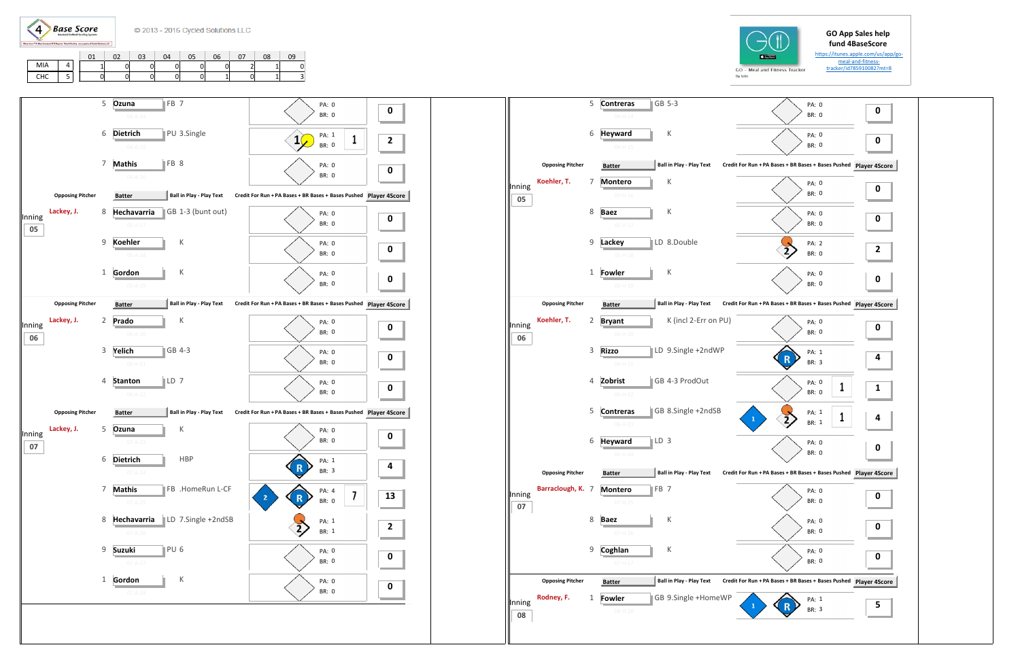## **GO App Sales help fund 4BaseScore**

https://itunes.apple.com/us/app/go‐ meal-and-fitnesstracker/id785910082?mt=8







By Iolo